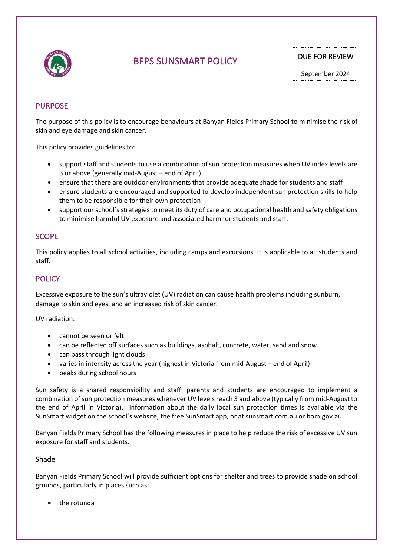

# BFPS SUNSMART POLICY DUE FOR REVIEW

# PURPOSE

The purpose of this policy is to encourage behaviours at Banyan Fields Primary School to minimise the risk of skin and eye damage and skin cancer.

This policy provides guidelines to:

- support staff and students to use a combination of sun protection measures when UV index levels are 3 or above (generally mid-August – end of April)
- ensure that there are outdoor environments that provide adequate shade for students and staff
- ensure students are encouraged and supported to develop independent sun protection skills to help them to be responsible for their own protection
- support our school's strategies to meet its duty of care and occupational health and safety obligations to minimise harmful UV exposure and associated harm for students and staff.

## SCOPE

This policy applies to all school activities, including camps and excursions. It is applicable to all students and staff.

# **POLICY**

Excessive exposure to the sun's ultraviolet (UV) radiation can cause health problems including sunburn, damage to skin and eyes, and an increased risk of skin cancer.

UV radiation:

- cannot be seen or felt
- can be reflected off surfaces such as buildings, asphalt, concrete, water, sand and snow
- can pass through light clouds
- varies in intensity across the year (highest in Victoria from mid-August end of April)
- peaks during school hours

Sun safety is a shared responsibility and staff, parents and students are encouraged to implement a combination of sun protection measures whenever UV levels reach 3 and above (typically from mid-August to the end of April in Victoria). Information about the daily local sun protection times is available via the SunSmart widget on the school's website, the free SunSmart app, or at sunsmart.com.au or bom.gov.au.

Banyan Fields Primary School has the following measures in place to help reduce the risk of excessive UV sun exposure for staff and students.

#### Shade

Banyan Fields Primary School will provide sufficient options for shelter and trees to provide shade on school grounds, particularly in places such as:

• the rotunda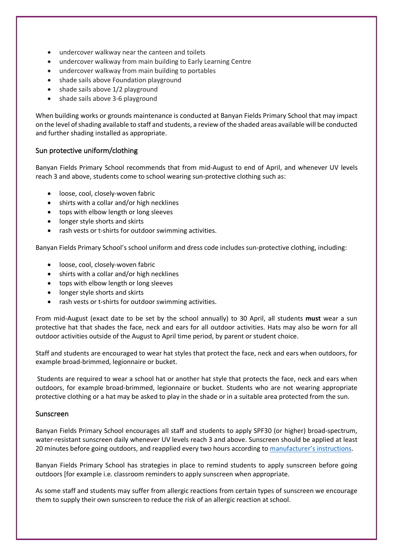- undercover walkway near the canteen and toilets
- undercover walkway from main building to Early Learning Centre
- undercover walkway from main building to portables
- shade sails above Foundation playground
- shade sails above 1/2 playground
- shade sails above 3-6 playground

When building works or grounds maintenance is conducted at Banyan Fields Primary School that may impact on the level of shading available to staff and students, a review of the shaded areas available will be conducted and further shading installed as appropriate.

#### Sun protective uniform/clothing

Banyan Fields Primary School recommends that from mid-August to end of April, and whenever UV levels reach 3 and above, students come to school wearing sun-protective clothing such as:

- loose, cool, closely-woven fabric
- shirts with a collar and/or high necklines
- tops with elbow length or long sleeves
- longer style shorts and skirts
- rash vests or t-shirts for outdoor swimming activities.

Banyan Fields Primary School's school uniform and dress code includes sun-protective clothing, including:

- loose, cool, closely-woven fabric
- shirts with a collar and/or high necklines
- tops with elbow length or long sleeves
- longer style shorts and skirts
- rash vests or t-shirts for outdoor swimming activities.

From mid-August (exact date to be set by the school annually) to 30 April, all students **must** wear a sun protective hat that shades the face, neck and ears for all outdoor activities. Hats may also be worn for all outdoor activities outside of the August to April time period, by parent or student choice.

Staff and students are encouraged to wear hat styles that protect the face, neck and ears when outdoors, for example broad-brimmed, legionnaire or bucket.

Students are required to wear a school hat or another hat style that protects the face, neck and ears when outdoors, for example broad-brimmed, legionnaire or bucket. Students who are not wearing appropriate protective clothing or a hat may be asked to play in the shade or in a suitable area protected from the sun.

#### Sunscreen

Banyan Fields Primary School encourages all staff and students to apply SPF30 (or higher) broad-spectrum, water-resistant sunscreen daily whenever UV levels reach 3 and above. Sunscreen should be applied at least 20 minutes before going outdoors, and reapplied every two hours according to manufacturer's instructions.

Banyan Fields Primary School has strategies in place to remind students to apply sunscreen before going outdoors [for example i.e. classroom reminders to apply sunscreen when appropriate.

As some staff and students may suffer from allergic reactions from certain types of sunscreen we encourage them to supply their own sunscreen to reduce the risk of an allergic reaction at school.